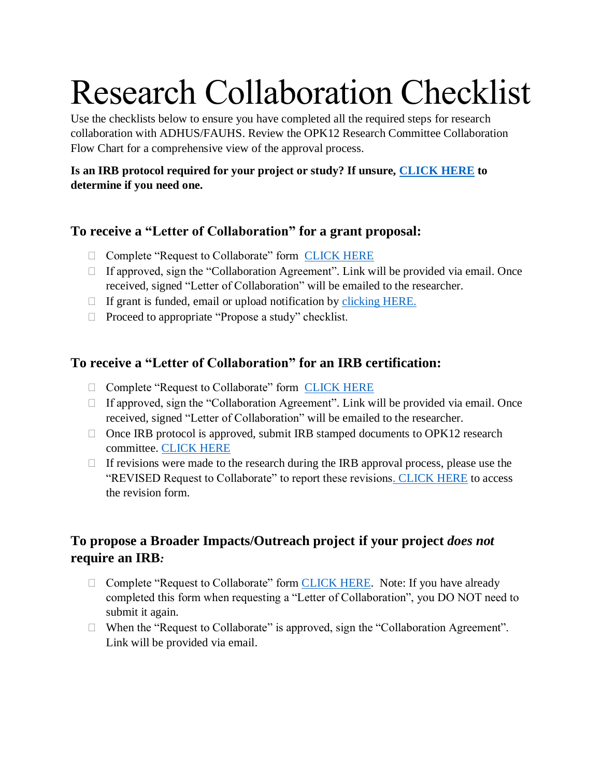# Research Collaboration Checklist

Use the checklists below to ensure you have completed all the required steps for research collaboration with ADHUS/FAUHS. Review the OPK12 Research Committee Collaboration Flow Chart for a comprehensive view of the approval process.

#### **Is an IRB protocol required for your project or study? If unsure, [CLICK HERE](https://www.irbnet.org/release/index.html) to determine if you need one.**

# **To receive a "Letter of Collaboration" for a grant proposal:**

- □ Complete "Request to Collaborate" form [CLICK HERE](https://docs.google.com/a/adhus.fau.edu/forms/d/e/1FAIpQLSeOIFyOhJ7AvHY5AI33QIr3kcb0AqdQWsBnYWv5MVtpRqsTqQ/viewform)
- $\Box$  If approved, sign the "Collaboration Agreement". Link will be provided via email. Once received, signed "Letter of Collaboration" will be emailed to the researcher.
- $\Box$  If grant is funded, email or upload notification by [clicking HERE.](https://docs.google.com/a/adhus.fau.edu/forms/d/e/1FAIpQLSfGfkoufWA8jdvbAVaNIFVXiaTeli0lYYrUz5y98w5Aw4YSBQ/viewform)
- $\Box$  Proceed to appropriate "Propose a study" checklist.

# **To receive a "Letter of Collaboration" for an IRB certification:**

- □ Complete "Request to Collaborate" form [CLICK HERE](https://docs.google.com/a/adhus.fau.edu/forms/d/e/1FAIpQLSeOIFyOhJ7AvHY5AI33QIr3kcb0AqdQWsBnYWv5MVtpRqsTqQ/viewform)
- $\Box$  If approved, sign the "Collaboration Agreement". Link will be provided via email. Once received, signed "Letter of Collaboration" will be emailed to the researcher.
- $\Box$  Once IRB protocol is approved, submit IRB stamped documents to OPK12 research committee. [CLICK HERE](https://docs.google.com/a/adhus.fau.edu/forms/d/e/1FAIpQLSfGfkoufWA8jdvbAVaNIFVXiaTeli0lYYrUz5y98w5Aw4YSBQ/viewform)
- $\Box$  If revisions were made to the research during the IRB approval process, please use the "REVISED Request to Collaborate" to report these revision[s. CLICK HERE](https://docs.google.com/a/adhus.fau.edu/forms/d/e/1FAIpQLSfGfkoufWA8jdvbAVaNIFVXiaTeli0lYYrUz5y98w5Aw4YSBQ/viewform) to access the revision form.

# **To propose a Broader Impacts/Outreach project if your project** *does not* **require an IRB***:*

- □ Complete "Request to Collaborate" form [CLICK HERE.](https://docs.google.com/a/adhus.fau.edu/forms/d/e/1FAIpQLSeOIFyOhJ7AvHY5AI33QIr3kcb0AqdQWsBnYWv5MVtpRqsTqQ/viewform) Note: If you have already completed this form when requesting a "Letter of Collaboration", you DO NOT need to submit it again.
- $\Box$  When the "Request to Collaborate" is approved, sign the "Collaboration Agreement". Link will be provided via email.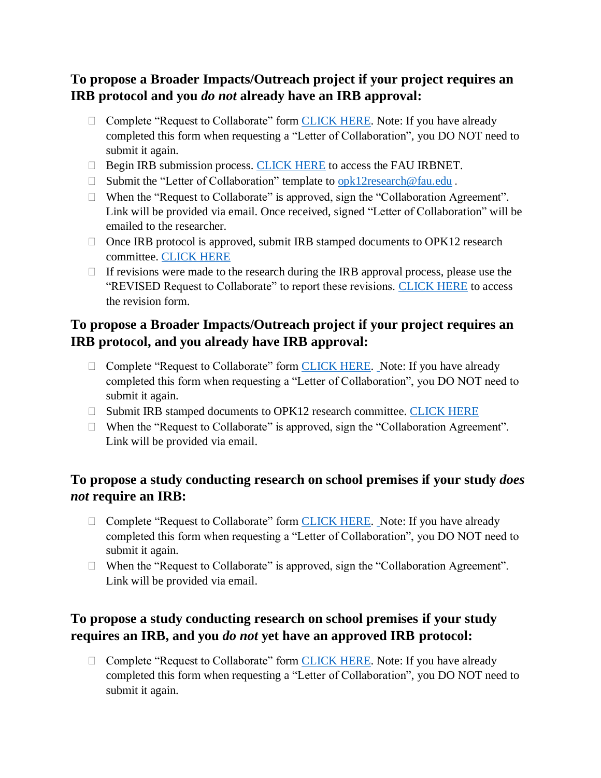### **To propose a Broader Impacts/Outreach project if your project requires an IRB protocol and you** *do not* **already have an IRB approval:**

- □ Complete "Request to Collaborate" form [CLICK HERE.](https://docs.google.com/a/adhus.fau.edu/forms/d/e/1FAIpQLSeOIFyOhJ7AvHY5AI33QIr3kcb0AqdQWsBnYWv5MVtpRqsTqQ/viewform) Note: If you have already completed this form when requesting a "Letter of Collaboration", you DO NOT need to submit it again.
- $\Box$  Begin IRB submission process. [CLICK HERE](https://www.irbnet.org/release/index.html) to access the FAU IRBNET.
- □ Submit the "Letter of Collaboration" template to [opk12research@fau.edu](mailto:opk12research@fau.edu).
- □ When the "Request to Collaborate" is approved, sign the "Collaboration Agreement". Link will be provided via email. Once received, signed "Letter of Collaboration" will be emailed to the researcher.
- $\Box$  Once IRB protocol is approved, submit IRB stamped documents to OPK12 research committee. [CLICK HERE](https://docs.google.com/a/adhus.fau.edu/forms/d/e/1FAIpQLSfGfkoufWA8jdvbAVaNIFVXiaTeli0lYYrUz5y98w5Aw4YSBQ/viewform)
- $\Box$  If revisions were made to the research during the IRB approval process, please use the "REVISED Request to Collaborate" to report these revisions. [CLICK HERE](https://docs.google.com/a/adhus.fau.edu/forms/d/e/1FAIpQLSfGfkoufWA8jdvbAVaNIFVXiaTeli0lYYrUz5y98w5Aw4YSBQ/viewform) to access the revision form.

# **To propose a Broader Impacts/Outreach project if your project requires an IRB protocol, and you already have IRB approval:**

- □ Complete "Request to Collaborate" form [CLICK HERE.](https://docs.google.com/a/adhus.fau.edu/forms/d/e/1FAIpQLSeOIFyOhJ7AvHY5AI33QIr3kcb0AqdQWsBnYWv5MVtpRqsTqQ/viewform) Note: If you have already completed this form when requesting a "Letter of Collaboration", you DO NOT need to submit it again.
- □ Submit IRB stamped documents to OPK12 research committee. [CLICK HERE](https://docs.google.com/a/adhus.fau.edu/forms/d/e/1FAIpQLSfGfkoufWA8jdvbAVaNIFVXiaTeli0lYYrUz5y98w5Aw4YSBQ/viewform)
- $\Box$  When the "Request to Collaborate" is approved, sign the "Collaboration Agreement". Link will be provided via email.

#### **To propose a study conducting research on school premises if your study** *does not* **require an IRB:**

- □ Complete "Request to Collaborate" form [CLICK HERE.](https://docs.google.com/a/adhus.fau.edu/forms/d/e/1FAIpQLSeOIFyOhJ7AvHY5AI33QIr3kcb0AqdQWsBnYWv5MVtpRqsTqQ/viewform) Note: If you have already completed this form when requesting a "Letter of Collaboration", you DO NOT need to submit it again.
- $\Box$  When the "Request to Collaborate" is approved, sign the "Collaboration Agreement". Link will be provided via email.

# **To propose a study conducting research on school premises if your study requires an IRB, and you** *do not* **yet have an approved IRB protocol:**

□ Complete "Request to Collaborate" form [CLICK HERE.](https://docs.google.com/a/adhus.fau.edu/forms/d/e/1FAIpQLSeOIFyOhJ7AvHY5AI33QIr3kcb0AqdQWsBnYWv5MVtpRqsTqQ/viewform) Note: If you have already completed this form when requesting a "Letter of Collaboration", you DO NOT need to submit it again.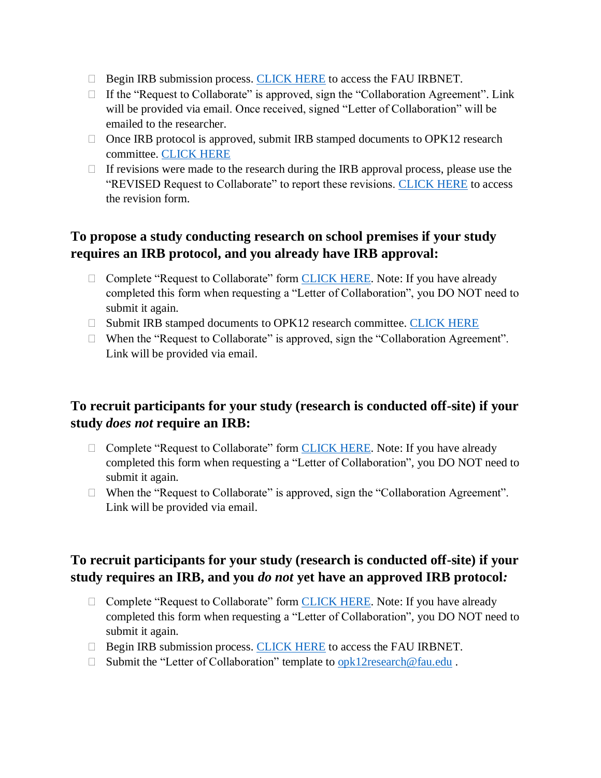- □ Begin IRB submission process. [CLICK HERE](https://www.irbnet.org/release/index.html) to access the FAU IRBNET.
- $\Box$  If the "Request to Collaborate" is approved, sign the "Collaboration Agreement". Link will be provided via email. Once received, signed "Letter of Collaboration" will be emailed to the researcher.
- $\Box$  Once IRB protocol is approved, submit IRB stamped documents to OPK12 research committee. [CLICK HERE](https://docs.google.com/a/adhus.fau.edu/forms/d/e/1FAIpQLSfGfkoufWA8jdvbAVaNIFVXiaTeli0lYYrUz5y98w5Aw4YSBQ/viewform)
- $\Box$  If revisions were made to the research during the IRB approval process, please use the "REVISED Request to Collaborate" to report these revisions. [CLICK HERE](https://docs.google.com/a/adhus.fau.edu/forms/d/e/1FAIpQLSfGfkoufWA8jdvbAVaNIFVXiaTeli0lYYrUz5y98w5Aw4YSBQ/viewform) to access the revision form.

## **To propose a study conducting research on school premises if your study requires an IRB protocol, and you already have IRB approval:**

- $\Box$  Complete "Request to Collaborate" form [CLICK HERE.](https://docs.google.com/a/adhus.fau.edu/forms/d/e/1FAIpQLSeOIFyOhJ7AvHY5AI33QIr3kcb0AqdQWsBnYWv5MVtpRqsTqQ/viewform) Note: If you have already completed this form when requesting a "Letter of Collaboration", you DO NOT need to submit it again.
- □ Submit IRB stamped documents to OPK12 research committee. [CLICK HERE](https://docs.google.com/a/adhus.fau.edu/forms/d/e/1FAIpQLSfGfkoufWA8jdvbAVaNIFVXiaTeli0lYYrUz5y98w5Aw4YSBQ/viewform)
- $\Box$  When the "Request to Collaborate" is approved, sign the "Collaboration Agreement". Link will be provided via email.

#### **To recruit participants for your study (research is conducted off-site) if your study** *does not* **require an IRB:**

- $\Box$  Complete "Request to Collaborate" form [CLICK HERE.](https://docs.google.com/a/adhus.fau.edu/forms/d/e/1FAIpQLSeOIFyOhJ7AvHY5AI33QIr3kcb0AqdQWsBnYWv5MVtpRqsTqQ/viewform) Note: If you have already completed this form when requesting a "Letter of Collaboration", you DO NOT need to submit it again.
- $\Box$  When the "Request to Collaborate" is approved, sign the "Collaboration Agreement". Link will be provided via email.

# **To recruit participants for your study (research is conducted off-site) if your study requires an IRB, and you** *do not* **yet have an approved IRB protocol***:*

- □ Complete "Request to Collaborate" form [CLICK HERE.](https://docs.google.com/a/adhus.fau.edu/forms/d/e/1FAIpQLSeOIFyOhJ7AvHY5AI33QIr3kcb0AqdQWsBnYWv5MVtpRqsTqQ/viewform) Note: If you have already completed this form when requesting a "Letter of Collaboration", you DO NOT need to submit it again.
- $\Box$  Begin IRB submission process. [CLICK HERE](https://www.irbnet.org/release/index.html) to access the FAU IRBNET.
- □ Submit the "Letter of Collaboration" template to [opk12research@fau.edu](mailto:opk12research@fau.edu).